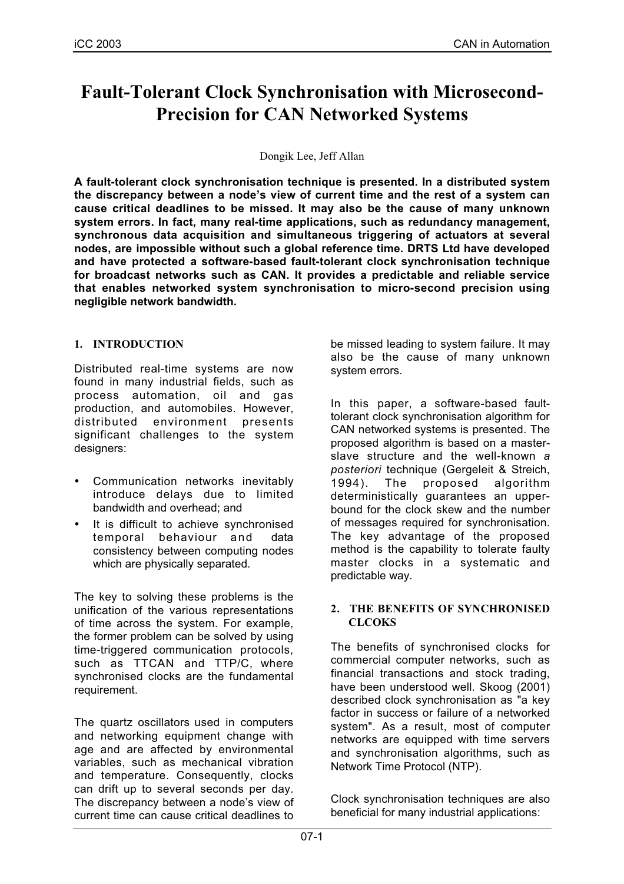# **Fault-Tolerant Clock Synchronisation with Microsecond-Precision for CAN Networked Systems**

#### Dongik Lee, Jeff Allan

**A fault-tolerant clock synchronisation technique is presented. In a distributed system the discrepancy between a node's view of current time and the rest of a system can cause critical deadlines to be missed. It may also be the cause of many unknown system errors. In fact, many real-time applications, such as redundancy management, synchronous data acquisition and simultaneous triggering of actuators at several nodes, are impossible without such a global reference time. DRTS Ltd have developed and have protected a software-based fault-tolerant clock synchronisation technique for broadcast networks such as CAN. It provides a predictable and reliable service that enables networked system synchronisation to micro-second precision using negligible network bandwidth.**

## **1. INTRODUCTION**

Distributed real-time systems are now found in many industrial fields, such as process automation, oil and gas production, and automobiles. However, distributed environment presents significant challenges to the system designers:

- Communication networks inevitably introduce delays due to limited bandwidth and overhead; and
- It is difficult to achieve synchronised temporal behaviour and data consistency between computing nodes which are physically separated.

The key to solving these problems is the unification of the various representations of time across the system. For example, the former problem can be solved by using time-triggered communication protocols, such as TTCAN and TTP/C, where synchronised clocks are the fundamental requirement.

The quartz oscillators used in computers and networking equipment change with age and are affected by environmental variables, such as mechanical vibration and temperature. Consequently, clocks can drift up to several seconds per day. The discrepancy between a node's view of current time can cause critical deadlines to

be missed leading to system failure. It may also be the cause of many unknown system errors.

In this paper, a software-based faulttolerant clock synchronisation algorithm for CAN networked systems is presented. The proposed algorithm is based on a masterslave structure and the well-known *a posteriori* technique (Gergeleit & Streich, 1994). The proposed algorithm deterministically guarantees an upperbound for the clock skew and the number of messages required for synchronisation. The key advantage of the proposed method is the capability to tolerate faulty master clocks in a systematic and predictable way.

#### **2. THE BENEFITS OF SYNCHRONISED CLCOKS**

The benefits of synchronised clocks for commercial computer networks, such as financial transactions and stock trading, have been understood well. Skoog (2001) described clock synchronisation as "a key factor in success or failure of a networked system". As a result, most of computer networks are equipped with time servers and synchronisation algorithms, such as Network Time Protocol (NTP).

Clock synchronisation techniques are also beneficial for many industrial applications: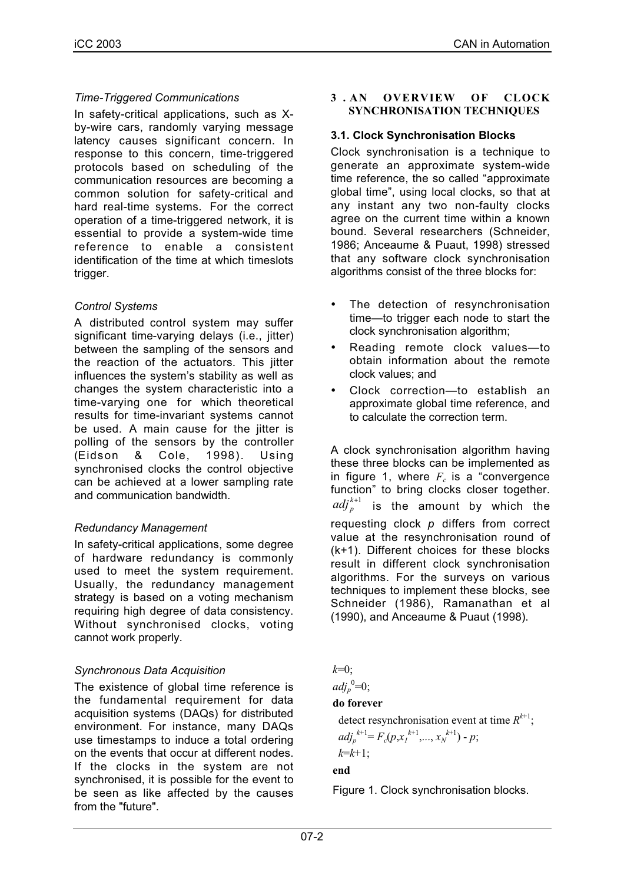## *Time-Triggered Communications*

In safety-critical applications, such as Xby-wire cars, randomly varying message latency causes significant concern. In response to this concern, time-triggered protocols based on scheduling of the communication resources are becoming a common solution for safety-critical and hard real-time systems. For the correct operation of a time-triggered network, it is essential to provide a system-wide time reference to enable a consistent identification of the time at which timeslots trigger.

## *Control Systems*

A distributed control system may suffer significant time-varying delays (i.e., jitter) between the sampling of the sensors and the reaction of the actuators. This jitter influences the system's stability as well as changes the system characteristic into a time-varying one for which theoretical results for time-invariant systems cannot be used. A main cause for the jitter is polling of the sensors by the controller (Eidson & Cole, 1998). Using synchronised clocks the control objective can be achieved at a lower sampling rate and communication bandwidth.

## *Redundancy Management*

In safety-critical applications, some degree of hardware redundancy is commonly used to meet the system requirement. Usually, the redundancy management strategy is based on a voting mechanism requiring high degree of data consistency. Without synchronised clocks, voting cannot work properly.

## *Synchronous Data Acquisition*

The existence of global time reference is the fundamental requirement for data acquisition systems (DAQs) for distributed environment. For instance, many DAQs use timestamps to induce a total ordering on the events that occur at different nodes. If the clocks in the system are not synchronised, it is possible for the event to be seen as like affected by the causes from the "future".

#### **3 . AN OVERVIEW OF CLOCK SYNCHRONISATION TECHNIQUES**

#### **3.1. Clock Synchronisation Blocks**

Clock synchronisation is a technique to generate an approximate system-wide time reference, the so called "approximate global time", using local clocks, so that at any instant any two non-faulty clocks agree on the current time within a known bound. Several researchers (Schneider, 1986; Anceaume & Puaut, 1998) stressed that any software clock synchronisation algorithms consist of the three blocks for:

- The detection of resynchronisation time—to trigger each node to start the clock synchronisation algorithm;
- Reading remote clock values—to obtain information about the remote clock values; and
- Clock correction—to establish an approximate global time reference, and to calculate the correction term.

A clock synchronisation algorithm having these three blocks can be implemented as in figure 1, where  $F_c$  is a "convergence" function" to bring clocks closer together.  $\mathit{adj}^{\,k+1}_\mathit{p}$  is the amount by which the requesting clock *p* differs from correct value at the resynchronisation round of (k+1). Different choices for these blocks result in different clock synchronisation algorithms. For the surveys on various techniques to implement these blocks, see Schneider (1986), Ramanathan et al (1990), and Anceaume & Puaut (1998).

*k*=0;

 $adj_{p}^{0}=0;$ 

#### **do forever**

detect resynchronisation event at time  $R^{k+1}$ ;

$$
adj_{p}^{k+1} = F_{c}(p, x_{1}^{k+1},..., x_{N}^{k+1}) - p;
$$

 $k=k+1$ ;

## **end**

Figure 1. Clock synchronisation blocks.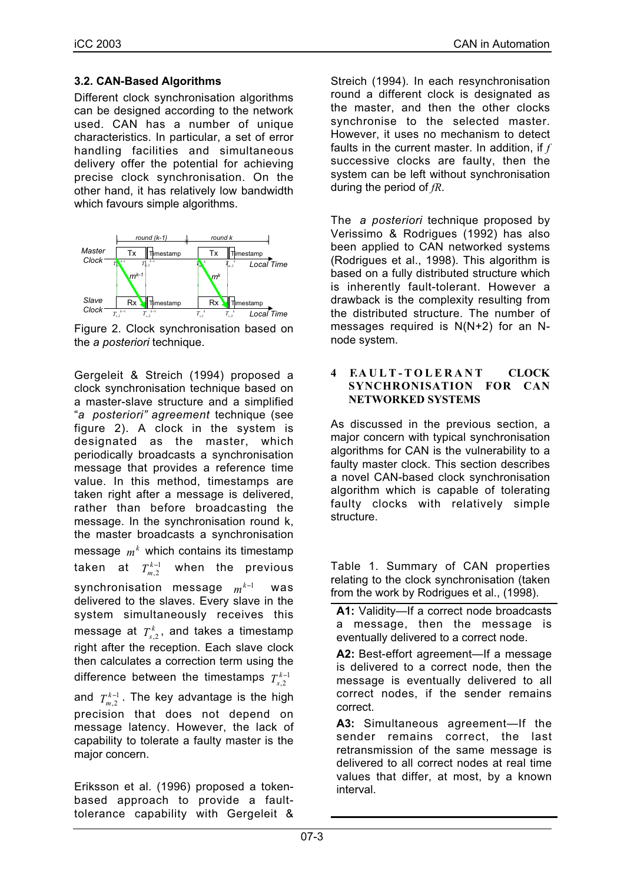## **3.2. CAN-Based Algorithms**

Different clock synchronisation algorithms can be designed according to the network used. CAN has a number of unique characteristics. In particular, a set of error handling facilities and simultaneous delivery offer the potential for achieving precise clock synchronisation. On the other hand, it has relatively low bandwidth which favours simple algorithms.



Figure 2. Clock synchronisation based on the *a posteriori* technique.

Gergeleit & Streich (1994) proposed a clock synchronisation technique based on a master-slave structure and a simplified "*a posteriori" agreement* technique (see figure 2). A clock in the system is designated as the master, which periodically broadcasts a synchronisation message that provides a reference time value. In this method, timestamps are taken right after a message is delivered, rather than before broadcasting the message. In the synchronisation round k, the master broadcasts a synchronisation message  $\,m^k\,$  which contains its timestamp taken at  $T_{\scriptscriptstyle m,2}^{\scriptscriptstyle k-1}$ **when the previous** synchronisation message *m<sup>k−1</sup>* was delivered to the slaves. Every slave in the system simultaneously receives this message at  $T_{s,2}^k$ , and takes a timestamp right after the reception. Each slave clock then calculates a correction term using the difference between the timestamps  $T_{s,2}^{k-1}$ and  $T_{m,2}^{k-1}$  . The key advantage is the high

precision that does not depend on message latency. However, the lack of capability to tolerate a faulty master is the major concern.

Eriksson et al. (1996) proposed a tokenbased approach to provide a faulttolerance capability with Gergeleit & Streich (1994). In each resynchronisation round a different clock is designated as the master, and then the other clocks synchronise to the selected master. However, it uses no mechanism to detect faults in the current master. In addition, if *f* successive clocks are faulty, then the system can be left without synchronisation during the period of *fR*.

The *a posteriori* technique proposed by Verissimo & Rodrigues (1992) has also been applied to CAN networked systems (Rodrigues et al., 1998). This algorithm is based on a fully distributed structure which is inherently fault-tolerant. However a drawback is the complexity resulting from the distributed structure. The number of messages required is N(N+2) for an Nnode system.

#### **4 . FAULT-TOLERANT CLOCK SYNCHRONISATION FOR CAN NETWORKED SYSTEMS**

As discussed in the previous section, a major concern with typical synchronisation algorithms for CAN is the vulnerability to a faulty master clock. This section describes a novel CAN-based clock synchronisation algorithm which is capable of tolerating faulty clocks with relatively simple structure.

Table 1. Summary of CAN properties relating to the clock synchronisation (taken from the work by Rodrigues et al., (1998).

**A1:** Validity—If a correct node broadcasts a message, then the message is eventually delivered to a correct node.

**A2:** Best-effort agreement—If a message is delivered to a correct node, then the message is eventually delivered to all correct nodes, if the sender remains correct.

**A3:** Simultaneous agreement—If the sender remains correct, the last retransmission of the same message is delivered to all correct nodes at real time values that differ, at most, by a known interval.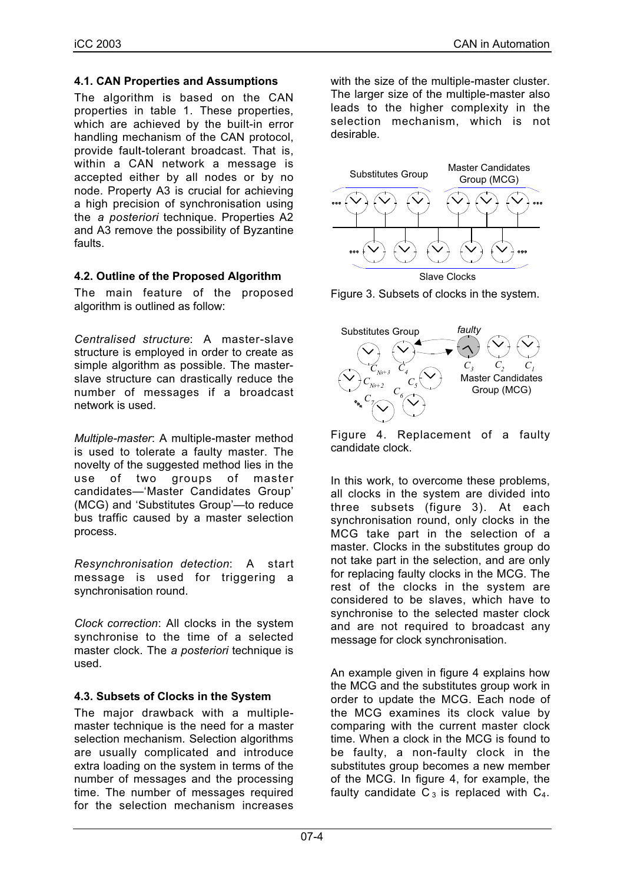#### **4.1. CAN Properties and Assumptions**

The algorithm is based on the CAN properties in table 1. These properties, which are achieved by the built-in error handling mechanism of the CAN protocol, provide fault-tolerant broadcast. That is, within a CAN network a message is accepted either by all nodes or by no node. Property A3 is crucial for achieving a high precision of synchronisation using the *a posteriori* technique. Properties A2 and A3 remove the possibility of Byzantine faults.

## **4.2. Outline of the Proposed Algorithm**

The main feature of the proposed algorithm is outlined as follow:

*Centralised structure*: A master-slave structure is employed in order to create as simple algorithm as possible. The masterslave structure can drastically reduce the number of messages if a broadcast network is used.

*Multiple-master*: A multiple-master method is used to tolerate a faulty master. The novelty of the suggested method lies in the use of two groups of master candidates—'Master Candidates Group' (MCG) and 'Substitutes Group'—to reduce bus traffic caused by a master selection process.

*Resynchronisation detection*: A start message is used for triggering a synchronisation round.

*Clock correction*: All clocks in the system synchronise to the time of a selected master clock. The *a posteriori* technique is used.

## **4.3. Subsets of Clocks in the System**

The major drawback with a multiplemaster technique is the need for a master selection mechanism. Selection algorithms are usually complicated and introduce extra loading on the system in terms of the number of messages and the processing time. The number of messages required for the selection mechanism increases

with the size of the multiple-master cluster. The larger size of the multiple-master also leads to the higher complexity in the selection mechanism, which is not desirable.



Figure 3. Subsets of clocks in the system.



Figure 4. Replacement of a faulty candidate clock.

In this work, to overcome these problems, all clocks in the system are divided into three subsets (figure 3). At each synchronisation round, only clocks in the MCG take part in the selection of a master. Clocks in the substitutes group do not take part in the selection, and are only for replacing faulty clocks in the MCG. The rest of the clocks in the system are considered to be slaves, which have to synchronise to the selected master clock and are not required to broadcast any message for clock synchronisation.

An example given in figure 4 explains how the MCG and the substitutes group work in order to update the MCG. Each node of the MCG examines its clock value by comparing with the current master clock time. When a clock in the MCG is found to be faulty, a non-faulty clock in the substitutes group becomes a new member of the MCG. In figure 4, for example, the faulty candidate  $C_3$  is replaced with  $C_4$ .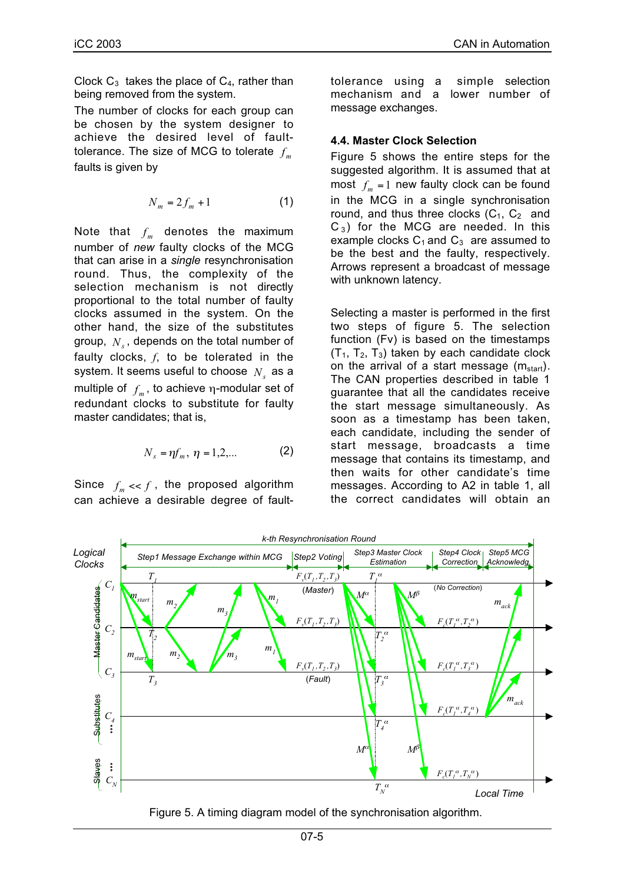Clock  $C_3$  takes the place of  $C_4$ , rather than being removed from the system.

The number of clocks for each group can be chosen by the system designer to achieve the desired level of faulttolerance. The size of MCG to tolerate  $f_m$ faults is given by

$$
N_m = 2f_m + 1 \tag{1}
$$

Note that  $f_m$  denotes the maximum number of *new* faulty clocks of the MCG that can arise in a *single* resynchronisation round. Thus, the complexity of the selection mechanism is not directly proportional to the total number of faulty clocks assumed in the system. On the other hand, the size of the substitutes group,  $N<sub>s</sub>$ , depends on the total number of faulty clocks, *f*, to be tolerated in the system. It seems useful to choose  $N_s$  as a multiple of  $f_m$ , to achieve  $\eta$ -modular set of redundant clocks to substitute for faulty master candidates; that is,

$$
N_s = \eta f_m, \; \eta = 1, 2, \dots \qquad \qquad \textbf{(2)}
$$

Since  $f_m \ll f$ , the proposed algorithm can achieve a desirable degree of faulttolerance using a simple selection mechanism and a lower number of message exchanges.

#### **4.4. Master Clock Selection**

Figure 5 shows the entire steps for the suggested algorithm. It is assumed that at most  $f_m = 1$  new faulty clock can be found in the MCG in a single synchronisation round, and thus three clocks  $(C_1, C_2$  and  $C_3$ ) for the MCG are needed. In this example clocks  $C_1$  and  $C_3$  are assumed to be the best and the faulty, respectively. Arrows represent a broadcast of message with unknown latency.

Selecting a master is performed in the first two steps of figure 5. The selection function (Fv) is based on the timestamps  $(T_1, T_2, T_3)$  taken by each candidate clock on the arrival of a start message  $(m_{start})$ . The CAN properties described in table 1 guarantee that all the candidates receive the start message simultaneously. As soon as a timestamp has been taken, each candidate, including the sender of start message, broadcasts a time message that contains its timestamp, and then waits for other candidate's time messages. According to A2 in table 1, all the correct candidates will obtain an



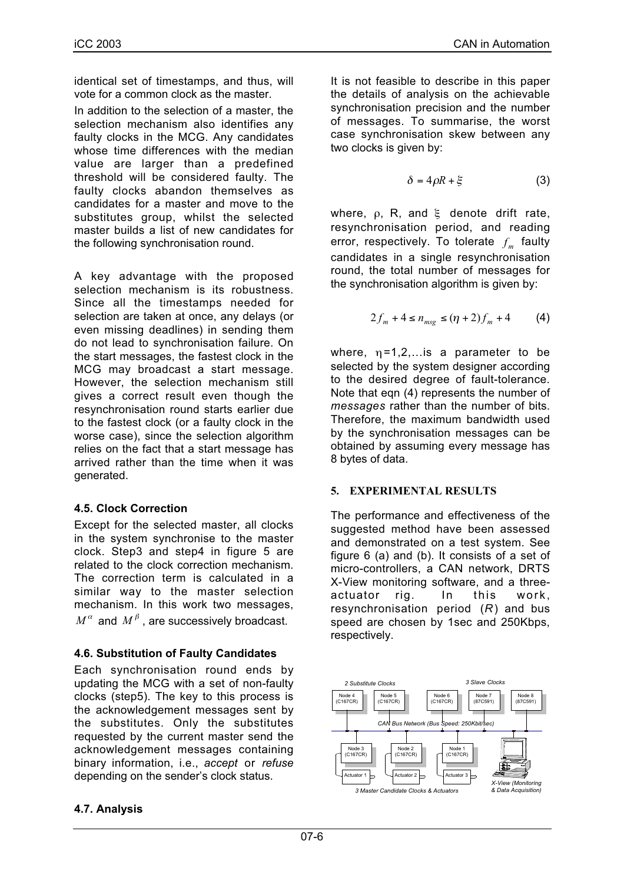identical set of timestamps, and thus, will vote for a common clock as the master.

In addition to the selection of a master, the selection mechanism also identifies any faulty clocks in the MCG. Any candidates whose time differences with the median value are larger than a predefined threshold will be considered faulty. The faulty clocks abandon themselves as candidates for a master and move to the substitutes group, whilst the selected master builds a list of new candidates for the following synchronisation round.

A key advantage with the proposed selection mechanism is its robustness. Since all the timestamps needed for selection are taken at once, any delays (or even missing deadlines) in sending them do not lead to synchronisation failure. On the start messages, the fastest clock in the MCG may broadcast a start message. However, the selection mechanism still gives a correct result even though the resynchronisation round starts earlier due to the fastest clock (or a faulty clock in the worse case), since the selection algorithm relies on the fact that a start message has arrived rather than the time when it was generated.

## **4.5. Clock Correction**

Except for the selected master, all clocks in the system synchronise to the master clock. Step3 and step4 in figure 5 are related to the clock correction mechanism. The correction term is calculated in a similar way to the master selection mechanism. In this work two messages,  $M^{\alpha}$  and  $M^{\beta}$ , are successively broadcast.

# **4.6. Substitution of Faulty Candidates**

Each synchronisation round ends by updating the MCG with a set of non-faulty clocks (step5). The key to this process is the acknowledgement messages sent by the substitutes. Only the substitutes requested by the current master send the acknowledgement messages containing binary information, i.e., *accept* or *refuse* depending on the sender's clock status.

# **4.7. Analysis**

It is not feasible to describe in this paper the details of analysis on the achievable synchronisation precision and the number of messages. To summarise, the worst case synchronisation skew between any two clocks is given by:

$$
\delta = 4\rho R + \xi \tag{3}
$$

where,  $\rho$ , R, and  $\xi$  denote drift rate, resynchronisation period, and reading error, respectively. To tolerate  $f_m$  faulty candidates in a single resynchronisation round, the total number of messages for the synchronisation algorithm is given by:

$$
2f_m + 4 \le n_{msg} \le (\eta + 2)f_m + 4 \tag{4}
$$

where,  $\eta = 1, 2, \ldots$  is a parameter to be selected by the system designer according to the desired degree of fault-tolerance. Note that eqn (4) represents the number of *messages* rather than the number of bits. Therefore, the maximum bandwidth used by the synchronisation messages can be obtained by assuming every message has 8 bytes of data.

## **5. EXPERIMENTAL RESULTS**

The performance and effectiveness of the suggested method have been assessed and demonstrated on a test system. See figure 6 (a) and (b). It consists of a set of micro-controllers, a CAN network, DRTS X-View monitoring software, and a threeactuator rig. In this work, resynchronisation period (*R*) and bus speed are chosen by 1sec and 250Kbps, respectively.

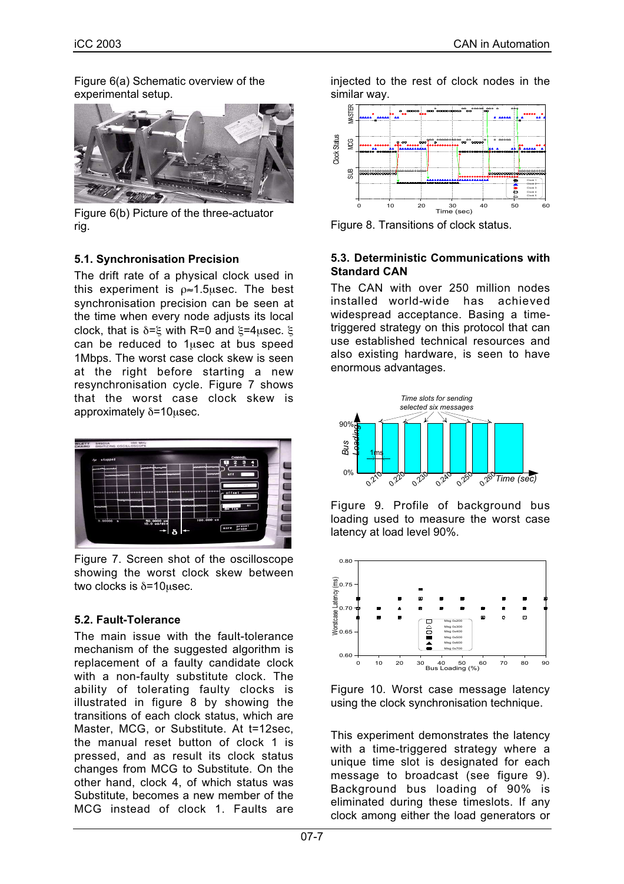Figure 6(a) Schematic overview of the experimental setup.



Figure 6(b) Picture of the three-actuator rig.

## **5.1. Synchronisation Precision**

The drift rate of a physical clock used in this experiment is  $\rho \approx 1.5$ usec. The best synchronisation precision can be seen at the time when every node adjusts its local clock, that is δ=ξ with R=0 and ξ=4µsec. ξ can be reduced to 1µsec at bus speed 1Mbps. The worst case clock skew is seen at the right before starting a new resynchronisation cycle. Figure 7 shows that the worst case clock skew is approximately δ=10µsec.



Figure 7. Screen shot of the oscilloscope showing the worst clock skew between two clocks is δ=10µsec.

# **5.2. Fault-Tolerance**

The main issue with the fault-tolerance mechanism of the suggested algorithm is replacement of a faulty candidate clock with a non-faulty substitute clock. The ability of tolerating faulty clocks is illustrated in figure 8 by showing the transitions of each clock status, which are Master, MCG, or Substitute. At t=12sec, the manual reset button of clock 1 is pressed, and as result its clock status changes from MCG to Substitute. On the other hand, clock 4, of which status was Substitute, becomes a new member of the MCG instead of clock 1. Faults are

injected to the rest of clock nodes in the similar way.



Figure 8. Transitions of clock status.

#### **5.3. Deterministic Communications with Standard CAN**

The CAN with over 250 million nodes installed world-wide has achieved widespread acceptance. Basing a timetriggered strategy on this protocol that can use established technical resources and also existing hardware, is seen to have enormous advantages.



Figure 9. Profile of background bus loading used to measure the worst case latency at load level 90%.



Figure 10. Worst case message latency using the clock synchronisation technique.

This experiment demonstrates the latency with a time-triggered strategy where a unique time slot is designated for each message to broadcast (see figure 9). Background bus loading of 90% is eliminated during these timeslots. If any clock among either the load generators or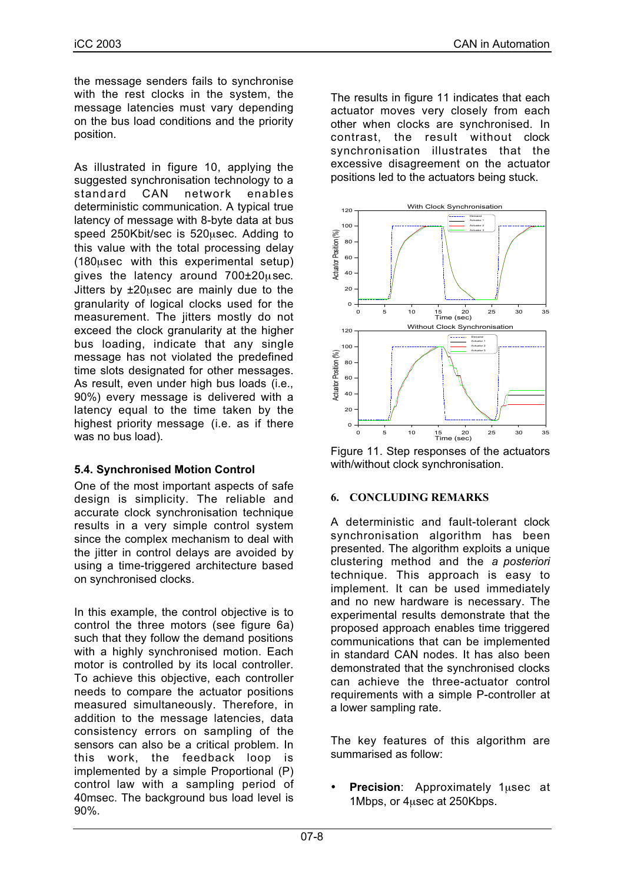the message senders fails to synchronise with the rest clocks in the system, the message latencies must vary depending on the bus load conditions and the priority position.

As illustrated in figure 10, applying the suggested synchronisation technology to a standard CAN network enables deterministic communication. A typical true latency of message with 8-byte data at bus speed 250Kbit/sec is 520µsec. Adding to this value with the total processing delay (180µsec with this experimental setup) gives the latency around 700±20µsec. Jitters by ±20µsec are mainly due to the granularity of logical clocks used for the measurement. The jitters mostly do not exceed the clock granularity at the higher bus loading, indicate that any single message has not violated the predefined time slots designated for other messages. As result, even under high bus loads (i.e., 90%) every message is delivered with a latency equal to the time taken by the highest priority message (i.e. as if there was no bus load).

# **5.4. Synchronised Motion Control**

One of the most important aspects of safe design is simplicity. The reliable and accurate clock synchronisation technique results in a very simple control system since the complex mechanism to deal with the jitter in control delays are avoided by using a time-triggered architecture based on synchronised clocks.

In this example, the control objective is to control the three motors (see figure 6a) such that they follow the demand positions with a highly synchronised motion. Each motor is controlled by its local controller. To achieve this objective, each controller needs to compare the actuator positions measured simultaneously. Therefore, in addition to the message latencies, data consistency errors on sampling of the sensors can also be a critical problem. In this work, the feedback loop is implemented by a simple Proportional (P) control law with a sampling period of 40msec. The background bus load level is 90%.

The results in figure 11 indicates that each actuator moves very closely from each other when clocks are synchronised. In contrast, the result without clock synchronisation illustrates that the excessive disagreement on the actuator positions led to the actuators being stuck.



Figure 11. Step responses of the actuators with/without clock synchronisation.

## **6. CONCLUDING REMARKS**

A deterministic and fault-tolerant clock synchronisation algorithm has been presented. The algorithm exploits a unique clustering method and the *a posteriori* technique. This approach is easy to implement. It can be used immediately and no new hardware is necessary. The experimental results demonstrate that the proposed approach enables time triggered communications that can be implemented in standard CAN nodes. It has also been demonstrated that the synchronised clocks can achieve the three-actuator control requirements with a simple P-controller at a lower sampling rate.

The key features of this algorithm are summarised as follow:

• **Precision**: Approximately 1µsec at 1Mbps, or 4µsec at 250Kbps.